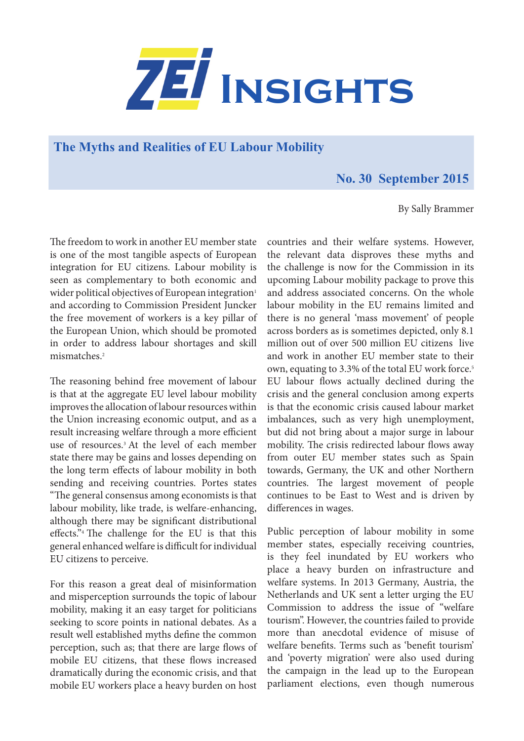

**The Myths and Realities of EU Labour Mobility** 

## **No. 30 September 2015**

By Sally Brammer

The freedom to work in another EU member state is one of the most tangible aspects of European integration for EU citizens. Labour mobility is seen as complementary to both economic and wider political objectives of European integration<sup>1</sup> and according to Commission President Juncker the free movement of workers is a key pillar of the European Union, which should be promoted in order to address labour shortages and skill mismatches.2

The reasoning behind free movement of labour is that at the aggregate EU level labour mobility improves the allocation of labour resources within the Union increasing economic output, and as a result increasing welfare through a more efficient use of resources.3 At the level of each member state there may be gains and losses depending on the long term effects of labour mobility in both sending and receiving countries. Portes states "The general consensus among economists is that labour mobility, like trade, is welfare-enhancing, although there may be significant distributional effects."4 The challenge for the EU is that this general enhanced welfare is difficult for individual EU citizens to perceive.

For this reason a great deal of misinformation and misperception surrounds the topic of labour mobility, making it an easy target for politicians seeking to score points in national debates. As a result well established myths define the common perception, such as; that there are large flows of mobile EU citizens, that these flows increased dramatically during the economic crisis, and that mobile EU workers place a heavy burden on host

countries and their welfare systems. However, the relevant data disproves these myths and the challenge is now for the Commission in its upcoming Labour mobility package to prove this and address associated concerns. On the whole labour mobility in the EU remains limited and there is no general 'mass movement' of people across borders as is sometimes depicted, only 8.1 million out of over 500 million EU citizens live and work in another EU member state to their own, equating to 3.3% of the total EU work force.<sup>5</sup> EU labour flows actually declined during the crisis and the general conclusion among experts is that the economic crisis caused labour market imbalances, such as very high unemployment, but did not bring about a major surge in labour mobility. The crisis redirected labour flows away from outer EU member states such as Spain towards, Germany, the UK and other Northern countries. The largest movement of people continues to be East to West and is driven by differences in wages.

Public perception of labour mobility in some member states, especially receiving countries, is they feel inundated by EU workers who place a heavy burden on infrastructure and welfare systems. In 2013 Germany, Austria, the Netherlands and UK sent a letter urging the EU Commission to address the issue of "welfare tourism". However, the countries failed to provide more than anecdotal evidence of misuse of welfare benefits. Terms such as 'benefit tourism' and 'poverty migration' were also used during the campaign in the lead up to the European parliament elections, even though numerous